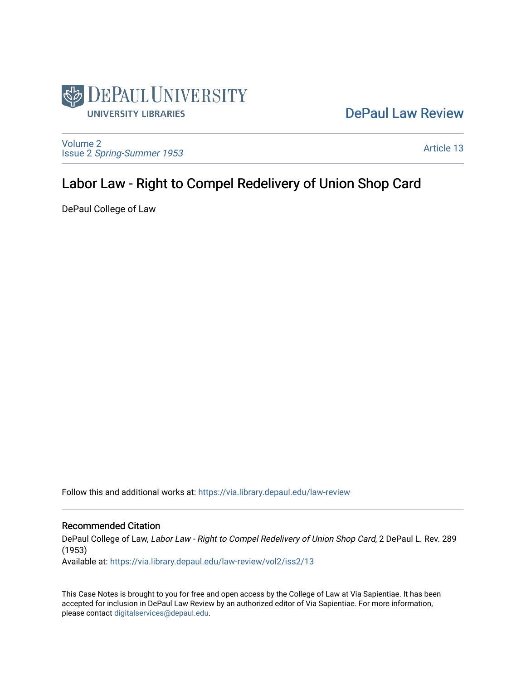

## [DePaul Law Review](https://via.library.depaul.edu/law-review)

[Volume 2](https://via.library.depaul.edu/law-review/vol2) Issue 2 [Spring-Summer 1953](https://via.library.depaul.edu/law-review/vol2/iss2) 

[Article 13](https://via.library.depaul.edu/law-review/vol2/iss2/13) 

# Labor Law - Right to Compel Redelivery of Union Shop Card

DePaul College of Law

Follow this and additional works at: [https://via.library.depaul.edu/law-review](https://via.library.depaul.edu/law-review?utm_source=via.library.depaul.edu%2Flaw-review%2Fvol2%2Fiss2%2F13&utm_medium=PDF&utm_campaign=PDFCoverPages) 

### Recommended Citation

DePaul College of Law, Labor Law - Right to Compel Redelivery of Union Shop Card, 2 DePaul L. Rev. 289 (1953)

Available at: [https://via.library.depaul.edu/law-review/vol2/iss2/13](https://via.library.depaul.edu/law-review/vol2/iss2/13?utm_source=via.library.depaul.edu%2Flaw-review%2Fvol2%2Fiss2%2F13&utm_medium=PDF&utm_campaign=PDFCoverPages) 

This Case Notes is brought to you for free and open access by the College of Law at Via Sapientiae. It has been accepted for inclusion in DePaul Law Review by an authorized editor of Via Sapientiae. For more information, please contact [digitalservices@depaul.edu.](mailto:digitalservices@depaul.edu)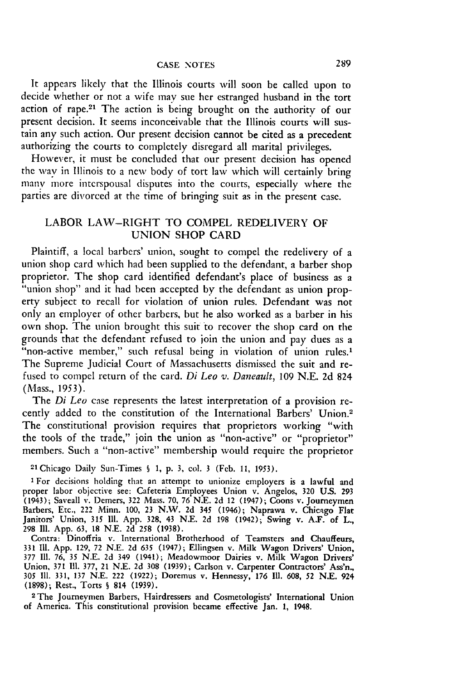It appears likely that the Illinois courts will soon be called upon to decide whether or not a wife may sue her estranged husband in the tort action of rape.<sup>21</sup> The action is being brought on the authority of our present decision. It seems inconceivable that the Illinois courts will sustain any such action. Our present decision cannot be cited as a precedent authorizing the courts to completely disregard all marital privileges.

However, it must be concluded that our present decision has opened the way in Illinois to a new body of tort law which will certainly bring many more interspousal disputes into the courts, especially where the parties are divorced at the time of bringing suit as in the present case.

#### LABOR LAW-RIGHT TO COMPEL REDELIVERY OF UNION SHOP CARD

Plaintiff, a local barbers' union, sought to compel the redelivery of a union shop card which had been supplied to the defendant, a barber shop proprietor. The shop card identified defendant's place of business as a "union shop" and it had been accepted by the defendant as union property subject to recall for violation of union rules. Defendant was not only an employer of other barbers, but he also worked as a barber in his own shop. The union brought this suit to recover the shop card on the grounds that the defendant refused to join the union and pay dues as a "non-active member," such refusal being in violation of union rules.<sup>1</sup> The Supreme Judicial Court of Massachusetts dismissed the suit and refused to compel return of the card. *Di Leo v. Daneault,* 109 N.E. 2d 824 (Mass., 1953).

The *Di Leo* case represents the latest interpretation of a provision recently added to the constitution of the International Barbers' Union.<sup>2</sup> The constitutional provision requires that proprietors working "with the tools of the trade," join the union as "non-active" or "proprietor" members. Such a "non-active" membership would require the proprietor

21Chicago Daily Sun-Times **§** 1, **p. 3,** col. 3 **(Feb. 11,** 1953).

**I** For decisions holding that an attempt to unionize employers is a lawful and proper labor objective see: Cafeteria Employees Union v. Angelos, 320 U.S. 293 (1943); Saveall v. Demers, 322 Mass. 70, 76 N.E. 2d 12 (1947); Coons v. Journeymen Barbers, Etc., 222 Minn. 100, 23 N.W. 2d 345 (1946); Naprawa v. Chicago Flat Janitors' Union, 315 **I11.** App. 328, 43 N.E. 2d 198 (1942); Swing v. A.F. of L., 298 Ill. App. 63, 18 N.E. 2d *258* (1938).

Contra: Dinoffria v. International Brotherhood of Teamsters and Chauffeurs, 331 **111.** App. 129, 72 N.E. 2d *635* (1947); Ellingsen v. Milk Wagon Drivers' Union, 377 **Il1.** 76, 35 N.E. 2d 349 (1941); Meadowmoor Dairies v. Milk Wagon Drivers' Union, 371 **111.** 377, 21 N.E. 2d 308 (1939); Carlson v. Carpenter Contractors' Ass'n., 305 **I11.** 331, 137 N.E. 222 (1922); Doremus v. Hennessy, 176 Ill. 608, 52 N.E. 924 (1898); Rest., Torts § 814 (1939). <sup>2</sup> The Journeymen Barbers, Hairdressers and Cosmetologists' International Union

of America. This constitutional provision became effective Jan. 1, 1948.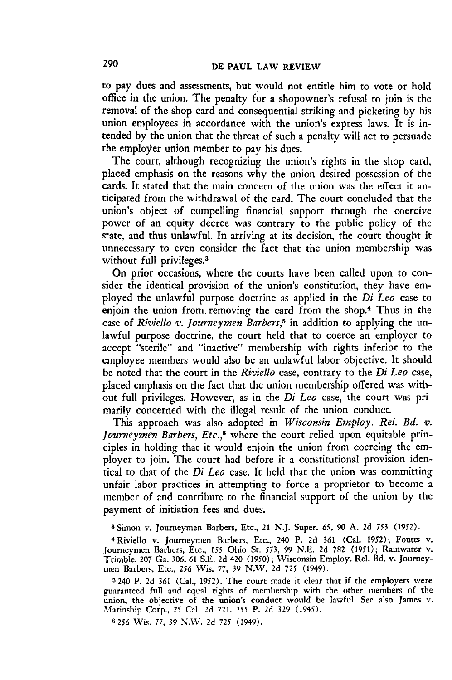to pay dues and assessments, but would not entitle him to vote or hold office in the union. The penalty for a shopowner's refusal to join is the removal of the shop card and consequential striking and picketing by his union employees in accordance with the union's express laws. It is intended by the union that the threat of such a penalty will act to persuade the employer union member to pay his dues.

The court, although recognizing the union's rights in the shop card, placed emphasis on the reasons why the union desired possession of the cards. It stated that the main concern of the union was the effect it anticipated from the withdrawal of the card. The court concluded that the union's object of compelling financial support through the coercive power of an equity decree was contrary to the public policy of the state, and thus unlawful. In arriving at its decision, the court thought it unnecessary to even consider the fact that the union membership was without full privileges.<sup>3</sup>

On prior occasions, where the courts have been called upon to consider the identical provision of the union's constitution, they have employed the unlawful purpose doctrine as applied in the *Di Leo* case to enjoin the union from. removing the card from the shop.4 Thus in the case of *Riviello v. Journeymen Barbers,5* in addition to applying the unlawful purpose doctrine, the court held that to coerce an employer to accept "sterile" and "inactive" membership with rights inferior to the employee members would also be an unlawful labor objective. It should be noted that the court in the *Riviello* case, contrary to the *Di Leo* case, placed emphasis on the fact that the union membership offered was without full privileges. However, as in the *Di Leo* case, the court was primarily concerned with the illegal result of the union conduct.

This approach was also adopted in *Wisconsin Employ. Rel. Bd. v. Journeymen Barbers, Etc.,6* where the court relied upon equitable principles in holding that it would enjoin the union from coercing the employer to join. The court had before it a constitutional provision identical to that of the *Di Leo* case. It held that the union was committing unfair labor practices in attempting to force a proprietor to become a member of and contribute to the financial support of the union by the payment of initiation fees and dues.

**3** Simon v. Journeymen Barbers, Etc., 21 N.J. Super. **65,** 90 **A. 2d** *753* **(1952).**

<sup>4</sup>Riviello v. Journeymen Barbers, Etc., 240 P. 2d 361 (Cal. 1952); Foutts v. Journeymen Barbers, Etc., 155 Ohio St. **573,** 99 N.E. 2d 782 (1951); Rainwater v. Trimble, 207 Ga. 306, **61 S.E.** 2d 420 (1950); Wisconsin Employ. Rel. Bd. v. Journeymen Barbers, Etc., **256** Wis. 77, 39 N.W. 2d 725 (1949).

5240 P. 2d **361** (Cal., 1952). The court made it clear that if the employers were guaranteed full and equal rights of membership with the other members of the union, the objective of the union's conduct would be lawful. See also James v. Marinship Corp., **25** Cal. **2d 721,** *155* P. 2d **329** (1945).

6256 Wis. 77, 39 N.W. 2d **725** (1949).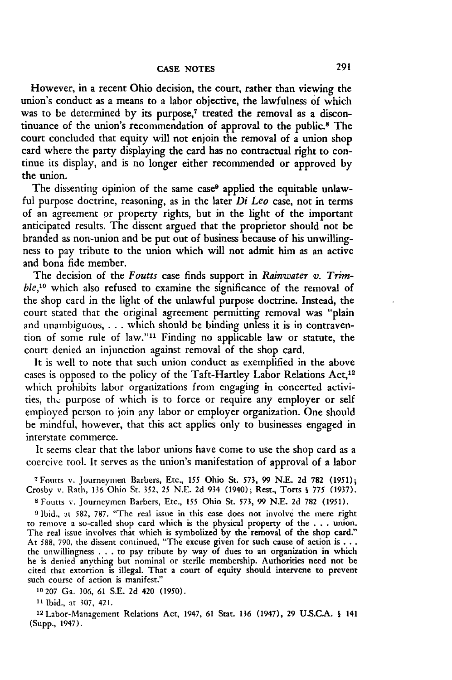However, in a recent Ohio decision, the court, rather than viewing the union's conduct as a means to a labor objective, the lawfulness of which was to be determined by its purpose,<sup>7</sup> treated the removal as a discontinuance of the union's recommendation of approval to the public.8 The court concluded that equity will not enjoin the removal of a union shop card where the party displaying the card has no contractual right to continue its display, and is no longer either recommended or approved **by** the union.

The dissenting opinion of the same case<sup>9</sup> applied the equitable unlawful purpose doctrine, reasoning, as in the later *Di Leo* case, not in terms of an agreement or property rights, but in the light of the important anticipated results. The dissent argued that the proprietor should not be branded as non-union and be put out of business because of his unwillingness to pay tribute to the union which will not admit him as an active and bona fide member.

The decision of the *Foutts* case finds support in *Rainwater v. Trimble,10* which also refused to examine the significance of the removal of the shop card in the light of the unlawful purpose doctrine. Instead, the court stated that the original agreement permitting removal was "plain and unambiguous, **. . .**which should be binding unless it is in contravention of some rule of law."" Finding no applicable law or statute, the court denied an injunction against removal of the shop card.

It is well to note that such union conduct as exemplified in the above cases is opposed to the policy of the Taft-Hartley Labor Relations Act,<sup>12</sup> which prohibits labor organizations from engaging in concerted activities, the purpose of which is to force or require any employer or self employed person to join any labor or employer organization. One should be mindful, however, that this act applies only to businesses engaged in interstate commerce.

It seems clear that the labor unions have come to use the shop card as a coercive tool. It serves as the union's manifestation of approval of a labor

**7** Foutts v. Journeymen Barbers, Etc., **155** Ohio St. 573, 99 N.E. **2d** 782 (1951); Crosby v. Rath, 136 Ohio St. 352, **25** N.E. 2d 934 (1940); Rest., Torts **§** 775 (1937).

**8** Foutts v. Journeymen Barbers, Etc., 155 Ohio St. 573, 99 N.E. 2d 782 (1951).

**9** Ibid., at 582, 787. "The real issue in this case does not involve the mere right to remove a so-called shop card which is the physical property of the ...union. The real issue involves that which is symbolized by the removal of the shop card." At 588, 790, the dissent continued, "The excuse given for such cause of action is **...** the unwillingness .. .to pay tribute by way of dues to an organization in which he is denied anything but nominal or sterile membership. Authorities need not be cited that extortion is illegal. That a court of equity should intervene to prevent such course of action is manifest."

10207 Ga. 306, 61 S.E. 2d 420 (1950).

**11** Ibid., at 307, 421.

**<sup>12</sup>**Labor-Management Relations Act, 1947, 61 Stat. 136 (1947), 29 U.S.C.A. **§** 141 (Supp., 1947).